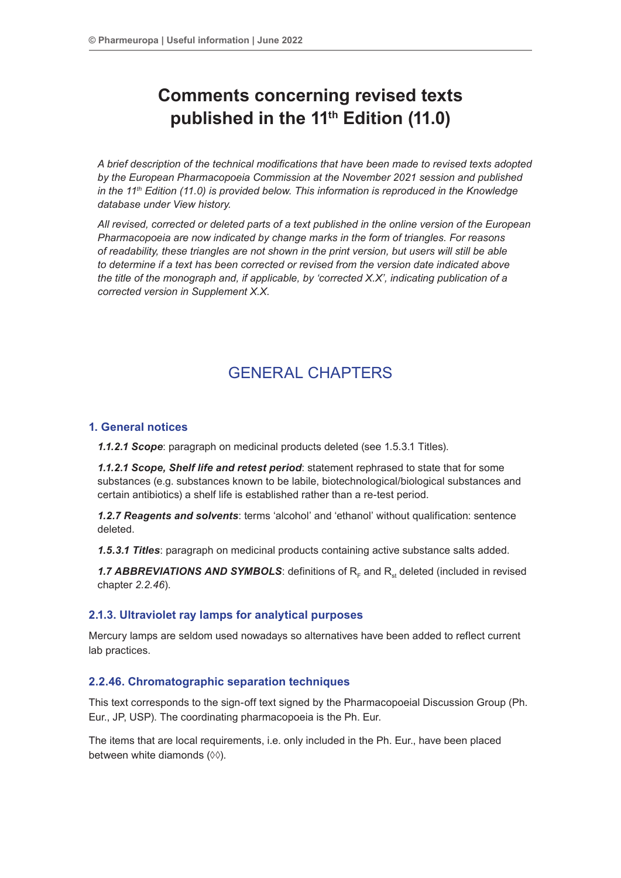# **Comments concerning revised texts published in the 11th Edition (11.0)**

*A brief description of the technical modifications that have been made to revised texts adopted by the European Pharmacopoeia Commission at the November 2021 session and published in the 11<sup>th</sup> Edition (11.0) is provided below. This information is reproduced in the Knowledge database under View history.*

*All revised, corrected or deleted parts of a text published in the online version of the European Pharmacopoeia are now indicated by change marks in the form of triangles. For reasons of readability, these triangles are not shown in the print version, but users will still be able to determine if a text has been corrected or revised from the version date indicated above the title of the monograph and, if applicable, by 'corrected X.X', indicating publication of a corrected version in Supplement X.X.*

# GENERAL CHAPTERS

# **1. General notices**

*1.1.2.1 Scope*: paragraph on medicinal products deleted (see 1.5.3.1 Titles).

*1.1.2.1 Scope, Shelf life and retest period*: statement rephrased to state that for some substances (e.g. substances known to be labile, biotechnological/biological substances and certain antibiotics) a shelf life is established rather than a re-test period.

*1.2.7 Reagents and solvents*: terms 'alcohol' and 'ethanol' without qualification: sentence deleted.

*1.5.3.1 Titles*: paragraph on medicinal products containing active substance salts added.

1.7 ABBREVIATIONS AND SYMBOLS: definitions of R<sub>F</sub> and R<sub>st</sub> deleted (included in revised chapter *2.2.46*).

# **2.1.3. Ultraviolet ray lamps for analytical purposes**

Mercury lamps are seldom used nowadays so alternatives have been added to reflect current lab practices.

# **2.2.46. Chromatographic separation techniques**

This text corresponds to the sign-off text signed by the Pharmacopoeial Discussion Group (Ph. Eur., JP, USP). The coordinating pharmacopoeia is the Ph. Eur.

The items that are local requirements, i.e. only included in the Ph. Eur., have been placed between white diamonds (◊◊).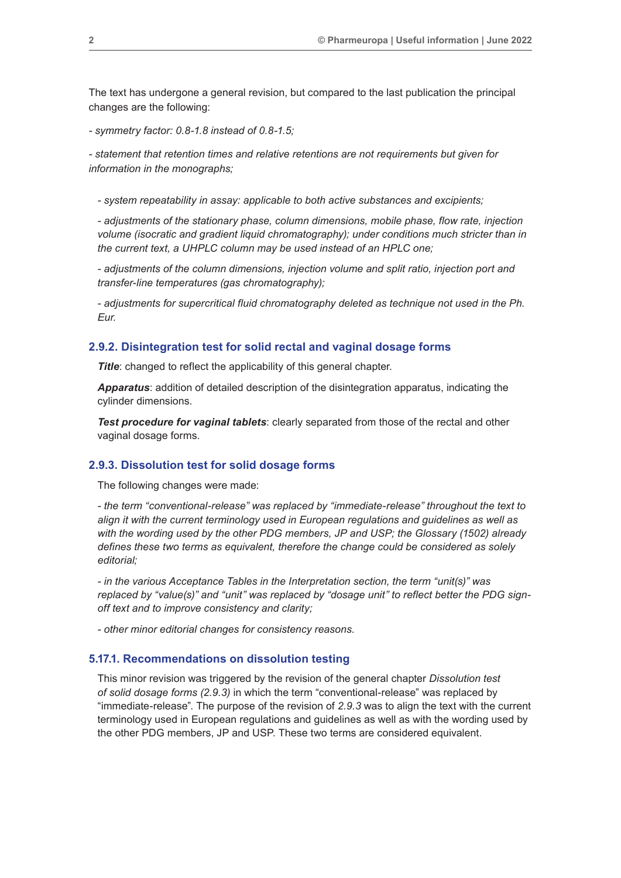The text has undergone a general revision, but compared to the last publication the principal changes are the following:

*- symmetry factor: 0.8-1.8 instead of 0.8-1.5;*

*- statement that retention times and relative retentions are not requirements but given for information in the monographs;*

*- system repeatability in assay: applicable to both active substances and excipients;*

*- adjustments of the stationary phase, column dimensions, mobile phase, flow rate, injection volume (isocratic and gradient liquid chromatography); under conditions much stricter than in the current text, a UHPLC column may be used instead of an HPLC one;*

*- adjustments of the column dimensions, injection volume and split ratio, injection port and transfer-line temperatures (gas chromatography);*

*- adjustments for supercritical fluid chromatography deleted as technique not used in the Ph. Eur.*

#### **2.9.2. Disintegration test for solid rectal and vaginal dosage forms**

**Title:** changed to reflect the applicability of this general chapter.

*Apparatus*: addition of detailed description of the disintegration apparatus, indicating the cylinder dimensions.

*Test procedure for vaginal tablets*: clearly separated from those of the rectal and other vaginal dosage forms.

## **2.9.3. Dissolution test for solid dosage forms**

The following changes were made:

*- the term "conventional-release" was replaced by "immediate-release" throughout the text to align it with the current terminology used in European regulations and guidelines as well as with the wording used by the other PDG members, JP and USP; the Glossary (1502) already defines these two terms as equivalent, therefore the change could be considered as solely editorial;*

*- in the various Acceptance Tables in the Interpretation section, the term "unit(s)" was replaced by "value(s)" and "unit" was replaced by "dosage unit" to reflect better the PDG signoff text and to improve consistency and clarity;*

*- other minor editorial changes for consistency reasons.*

#### **5.17.1. Recommendations on dissolution testing**

This minor revision was triggered by the revision of the general chapter *Dissolution test of solid dosage forms (2.9.3)* in which the term "conventional-release" was replaced by "immediate-release". The purpose of the revision of *2.9.3* was to align the text with the current terminology used in European regulations and guidelines as well as with the wording used by the other PDG members, JP and USP. These two terms are considered equivalent.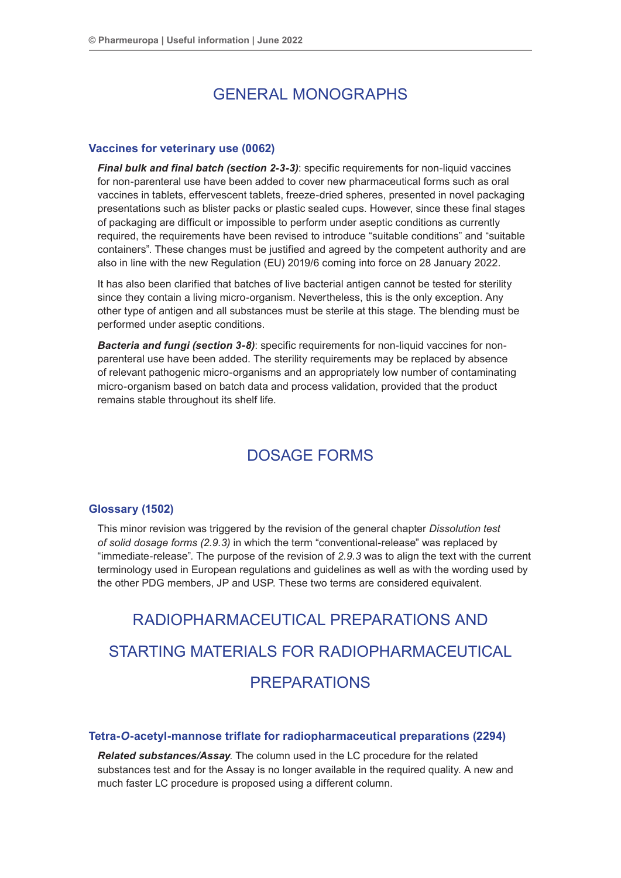# GENERAL MONOGRAPHS

# **Vaccines for veterinary use (0062)**

*Final bulk and final batch (section 2-3-3)*: specific requirements for non-liquid vaccines for non-parenteral use have been added to cover new pharmaceutical forms such as oral vaccines in tablets, effervescent tablets, freeze-dried spheres, presented in novel packaging presentations such as blister packs or plastic sealed cups. However, since these final stages of packaging are difficult or impossible to perform under aseptic conditions as currently required, the requirements have been revised to introduce "suitable conditions" and "suitable containers". These changes must be justified and agreed by the competent authority and are also in line with the new Regulation (EU) 2019/6 coming into force on 28 January 2022.

It has also been clarified that batches of live bacterial antigen cannot be tested for sterility since they contain a living micro-organism. Nevertheless, this is the only exception. Any other type of antigen and all substances must be sterile at this stage. The blending must be performed under aseptic conditions.

*Bacteria and fungi (section 3-8)*: specific requirements for non-liquid vaccines for nonparenteral use have been added. The sterility requirements may be replaced by absence of relevant pathogenic micro-organisms and an appropriately low number of contaminating micro-organism based on batch data and process validation, provided that the product remains stable throughout its shelf life.

# DOSAGE FORMS

# **Glossary (1502)**

This minor revision was triggered by the revision of the general chapter *Dissolution test of solid dosage forms (2.9.3)* in which the term "conventional-release" was replaced by "immediate-release". The purpose of the revision of *2.9.3* was to align the text with the current terminology used in European regulations and guidelines as well as with the wording used by the other PDG members, JP and USP. These two terms are considered equivalent.

# RADIOPHARMACEUTICAL PREPARATIONS AND STARTING MATERIALS FOR RADIOPHARMACEUTICAL PREPARATIONS

# **Tetra-***O***-acetyl-mannose triflate for radiopharmaceutical preparations (2294)**

*Related substances/Assay*. The column used in the LC procedure for the related substances test and for the Assay is no longer available in the required quality. A new and much faster LC procedure is proposed using a different column.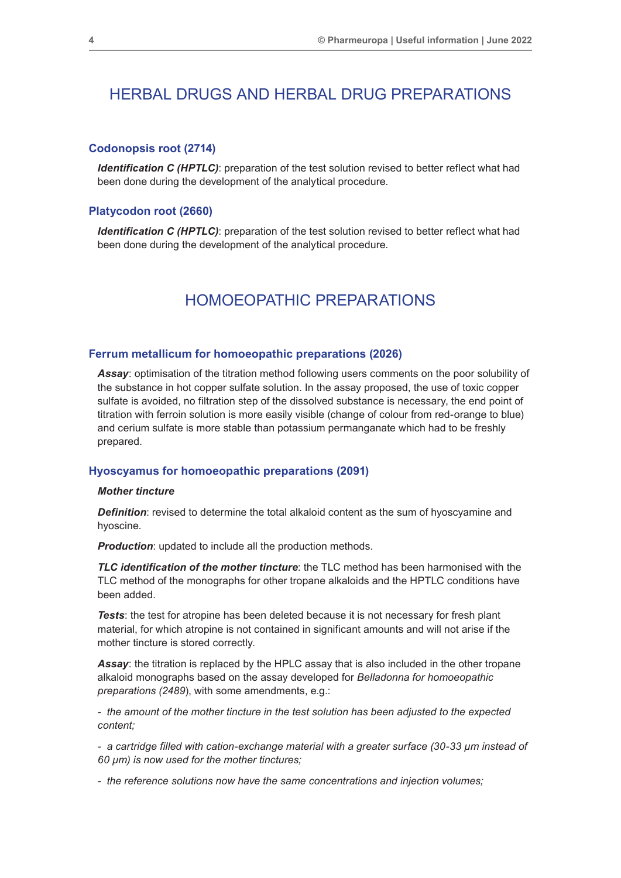# HERBAL DRUGS AND HERBAL DRUG PREPARATIONS

## **Codonopsis root (2714)**

*Identification C (HPTLC)*: preparation of the test solution revised to better reflect what had been done during the development of the analytical procedure.

# **Platycodon root (2660)**

*Identification C (HPTLC)*: preparation of the test solution revised to better reflect what had been done during the development of the analytical procedure.

# HOMOEOPATHIC PREPARATIONS

#### **Ferrum metallicum for homoeopathic preparations (2026)**

*Assay*: optimisation of the titration method following users comments on the poor solubility of the substance in hot copper sulfate solution. In the assay proposed, the use of toxic copper sulfate is avoided, no filtration step of the dissolved substance is necessary, the end point of titration with ferroin solution is more easily visible (change of colour from red-orange to blue) and cerium sulfate is more stable than potassium permanganate which had to be freshly prepared.

#### **Hyoscyamus for homoeopathic preparations (2091)**

#### *Mother tincture*

*Definition*: revised to determine the total alkaloid content as the sum of hyoscyamine and hyoscine.

*Production:* updated to include all the production methods.

*TLC identification of the mother tincture*: the TLC method has been harmonised with the TLC method of the monographs for other tropane alkaloids and the HPTLC conditions have been added.

*Tests*: the test for atropine has been deleted because it is not necessary for fresh plant material, for which atropine is not contained in significant amounts and will not arise if the mother tincture is stored correctly.

*Assay*: the titration is replaced by the HPLC assay that is also included in the other tropane alkaloid monographs based on the assay developed for *Belladonna for homoeopathic preparations (2489*), with some amendments, e.g.:

*- the amount of the mother tincture in the test solution has been adjusted to the expected content;*

*- a cartridge filled with cation-exchange material with a greater surface (30-33 µm instead of 60 µm) is now used for the mother tinctures;*

*- the reference solutions now have the same concentrations and injection volumes;*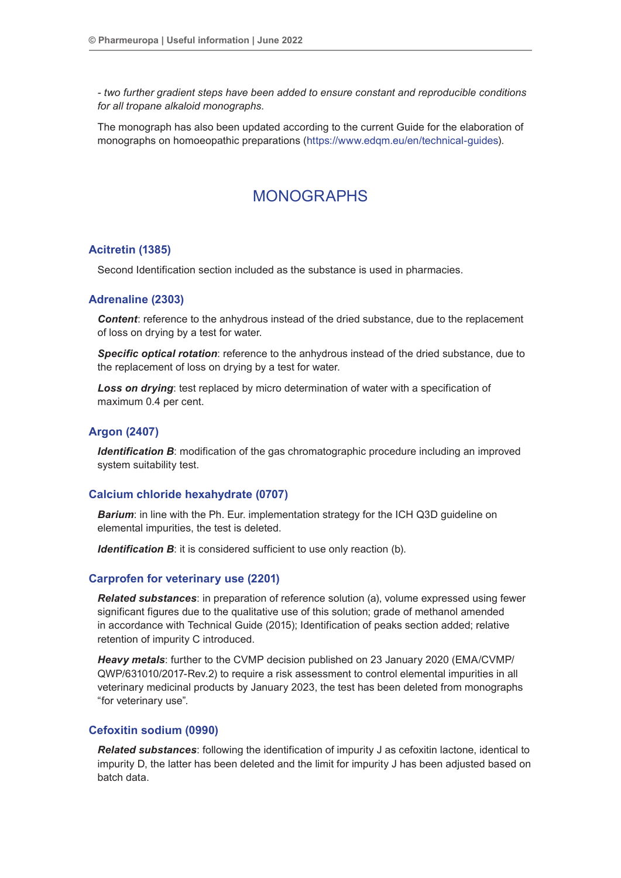*- two further gradient steps have been added to ensure constant and reproducible conditions for all tropane alkaloid monographs.*

The monograph has also been updated according to the current Guide for the elaboration of monographs on homoeopathic preparations [\(https://www.edqm.eu/en/technical-guides](https://www.edqm.eu/en/technical-guides)).

# MONOGRAPHS

# **Acitretin (1385)**

Second Identification section included as the substance is used in pharmacies.

# **Adrenaline (2303)**

*Content*: reference to the anhydrous instead of the dried substance, due to the replacement of loss on drying by a test for water.

*Specific optical rotation*: reference to the anhydrous instead of the dried substance, due to the replacement of loss on drying by a test for water.

**Loss on drying**: test replaced by micro determination of water with a specification of maximum 0.4 per cent.

# **Argon (2407)**

*Identification B*: modification of the gas chromatographic procedure including an improved system suitability test.

#### **Calcium chloride hexahydrate (0707)**

*Barium*: in line with the Ph. Eur. implementation strategy for the ICH Q3D guideline on elemental impurities, the test is deleted.

*Identification B*: it is considered sufficient to use only reaction (b).

# **Carprofen for veterinary use (2201)**

*Related substances*: in preparation of reference solution (a), volume expressed using fewer significant figures due to the qualitative use of this solution; grade of methanol amended in accordance with Technical Guide (2015); Identification of peaks section added; relative retention of impurity C introduced.

*Heavy metals*: further to the CVMP decision published on 23 January 2020 (EMA/CVMP/ QWP/631010/2017-Rev.2) to require a risk assessment to control elemental impurities in all veterinary medicinal products by January 2023, the test has been deleted from monographs "for veterinary use".

#### **Cefoxitin sodium (0990)**

*Related substances*: following the identification of impurity J as cefoxitin lactone, identical to impurity D, the latter has been deleted and the limit for impurity J has been adjusted based on batch data.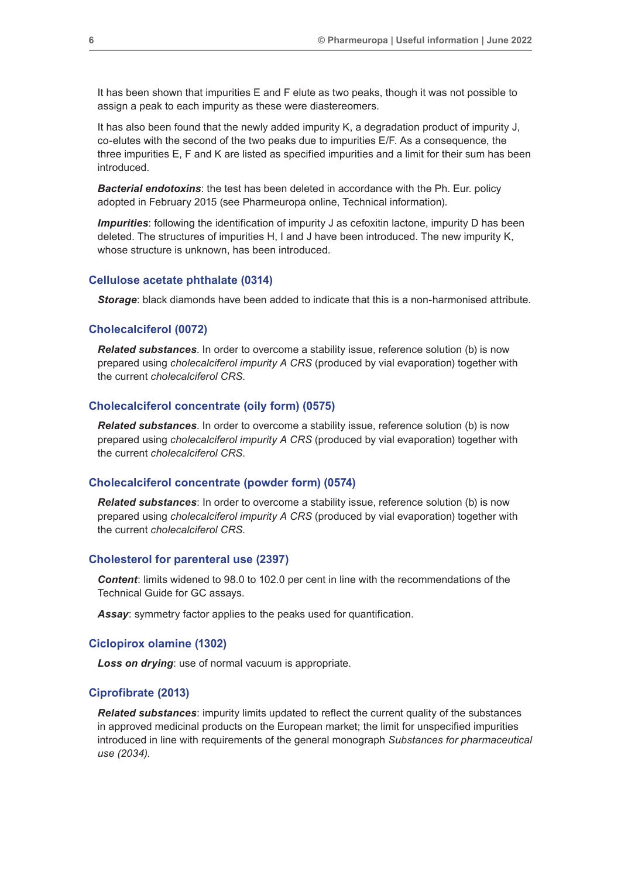It has been shown that impurities E and F elute as two peaks, though it was not possible to assign a peak to each impurity as these were diastereomers.

It has also been found that the newly added impurity K, a degradation product of impurity J, co-elutes with the second of the two peaks due to impurities E/F. As a consequence, the three impurities E, F and K are listed as specified impurities and a limit for their sum has been introduced.

*Bacterial endotoxins*: the test has been deleted in accordance with the Ph. Eur. policy adopted in February 2015 (see Pharmeuropa online, Technical information).

*Impurities*: following the identification of impurity J as cefoxitin lactone, impurity D has been deleted. The structures of impurities H, I and J have been introduced. The new impurity K, whose structure is unknown, has been introduced.

#### **Cellulose acetate phthalate (0314)**

*Storage*: black diamonds have been added to indicate that this is a non-harmonised attribute.

#### **Cholecalciferol (0072)**

*Related substances*. In order to overcome a stability issue, reference solution (b) is now prepared using *cholecalciferol impurity A CRS* (produced by vial evaporation) together with the current *cholecalciferol CRS*.

## **Cholecalciferol concentrate (oily form) (0575)**

*Related substances*. In order to overcome a stability issue, reference solution (b) is now prepared using *cholecalciferol impurity A CRS* (produced by vial evaporation) together with the current *cholecalciferol CRS*.

#### **Cholecalciferol concentrate (powder form) (0574)**

*Related substances*: In order to overcome a stability issue, reference solution (b) is now prepared using *cholecalciferol impurity A CRS* (produced by vial evaporation) together with the current *cholecalciferol CRS*.

#### **Cholesterol for parenteral use (2397)**

*Content*: limits widened to 98.0 to 102.0 per cent in line with the recommendations of the Technical Guide for GC assays.

*Assay*: symmetry factor applies to the peaks used for quantification.

#### **Ciclopirox olamine (1302)**

*Loss on drying*: use of normal vacuum is appropriate.

#### **Ciprofibrate (2013)**

*Related substances*: impurity limits updated to reflect the current quality of the substances in approved medicinal products on the European market; the limit for unspecified impurities introduced in line with requirements of the general monograph *Substances for pharmaceutical use (2034)*.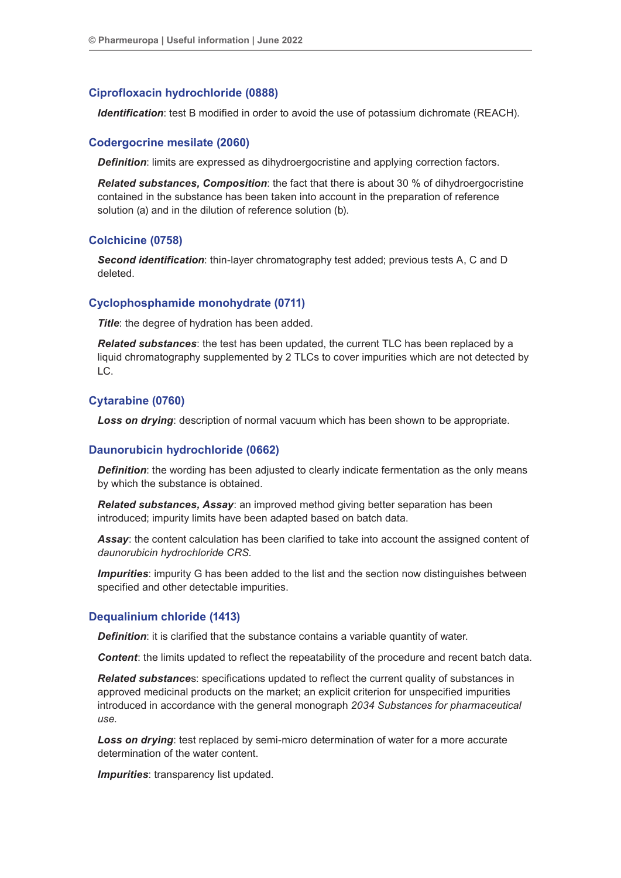# **Ciprofloxacin hydrochloride (0888)**

*Identification*: test B modified in order to avoid the use of potassium dichromate (REACH).

# **Codergocrine mesilate (2060)**

*Definition:* limits are expressed as dihydroergocristine and applying correction factors.

*Related substances, Composition*: the fact that there is about 30 % of dihydroergocristine contained in the substance has been taken into account in the preparation of reference solution (a) and in the dilution of reference solution (b).

# **Colchicine (0758)**

*Second identification*: thin-layer chromatography test added; previous tests A, C and D deleted.

## **Cyclophosphamide monohydrate (0711)**

**Title:** the degree of hydration has been added.

*Related substances*: the test has been updated, the current TLC has been replaced by a liquid chromatography supplemented by 2 TLCs to cover impurities which are not detected by LC.

# **Cytarabine (0760)**

*Loss on drying*: description of normal vacuum which has been shown to be appropriate.

# **Daunorubicin hydrochloride (0662)**

**Definition**: the wording has been adjusted to clearly indicate fermentation as the only means by which the substance is obtained.

*Related substances, Assay*: an improved method giving better separation has been introduced; impurity limits have been adapted based on batch data.

*Assay*: the content calculation has been clarified to take into account the assigned content of *daunorubicin hydrochloride CRS*.

**Impurities**: impurity G has been added to the list and the section now distinguishes between specified and other detectable impurities.

# **Dequalinium chloride (1413)**

**Definition**: it is clarified that the substance contains a variable quantity of water.

*Content*: the limits updated to reflect the repeatability of the procedure and recent batch data.

*Related substance*s: specifications updated to reflect the current quality of substances in approved medicinal products on the market; an explicit criterion for unspecified impurities introduced in accordance with the general monograph *2034 Substances for pharmaceutical use*.

*Loss on drying*: test replaced by semi-micro determination of water for a more accurate determination of the water content.

*Impurities*: transparency list updated.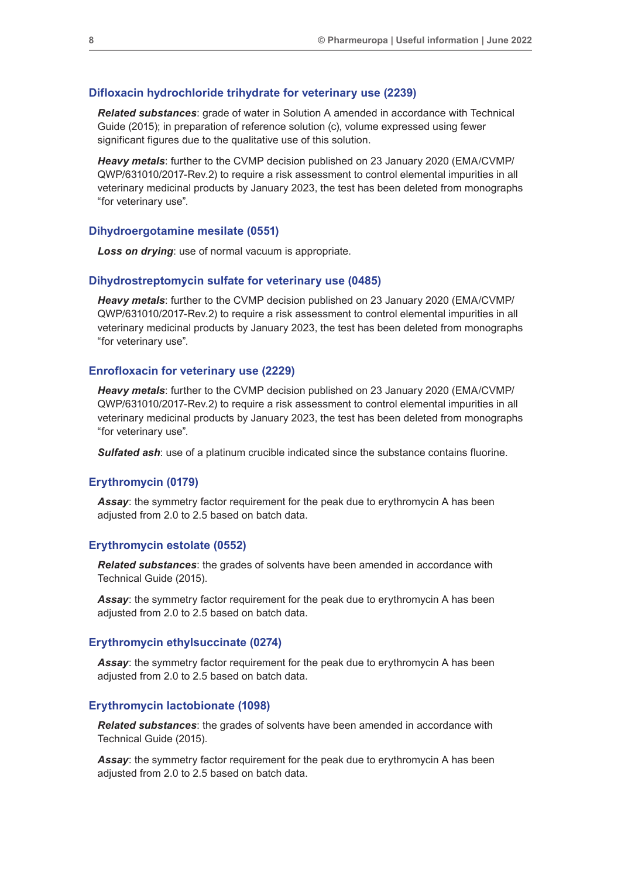#### **Difloxacin hydrochloride trihydrate for veterinary use (2239)**

*Related substances*: grade of water in Solution A amended in accordance with Technical Guide (2015); in preparation of reference solution (c), volume expressed using fewer significant figures due to the qualitative use of this solution.

*Heavy metals*: further to the CVMP decision published on 23 January 2020 (EMA/CVMP/ QWP/631010/2017-Rev.2) to require a risk assessment to control elemental impurities in all veterinary medicinal products by January 2023, the test has been deleted from monographs "for veterinary use".

#### **Dihydroergotamine mesilate (0551)**

*Loss on drying*: use of normal vacuum is appropriate.

#### **Dihydrostreptomycin sulfate for veterinary use (0485)**

*Heavy metals*: further to the CVMP decision published on 23 January 2020 (EMA/CVMP/ QWP/631010/2017-Rev.2) to require a risk assessment to control elemental impurities in all veterinary medicinal products by January 2023, the test has been deleted from monographs "for veterinary use".

#### **Enrofloxacin for veterinary use (2229)**

*Heavy metals*: further to the CVMP decision published on 23 January 2020 (EMA/CVMP/ QWP/631010/2017-Rev.2) to require a risk assessment to control elemental impurities in all veterinary medicinal products by January 2023, the test has been deleted from monographs "for veterinary use".

*Sulfated ash:* use of a platinum crucible indicated since the substance contains fluorine.

#### **Erythromycin (0179)**

*Assay*: the symmetry factor requirement for the peak due to erythromycin A has been adjusted from 2.0 to 2.5 based on batch data.

#### **Erythromycin estolate (0552)**

*Related substances*: the grades of solvents have been amended in accordance with Technical Guide (2015).

*Assay*: the symmetry factor requirement for the peak due to erythromycin A has been adjusted from 2.0 to 2.5 based on batch data.

#### **Erythromycin ethylsuccinate (0274)**

*Assay*: the symmetry factor requirement for the peak due to erythromycin A has been adjusted from 2.0 to 2.5 based on batch data.

#### **Erythromycin lactobionate (1098)**

*Related substances*: the grades of solvents have been amended in accordance with Technical Guide (2015).

*Assay*: the symmetry factor requirement for the peak due to erythromycin A has been adjusted from 2.0 to 2.5 based on batch data.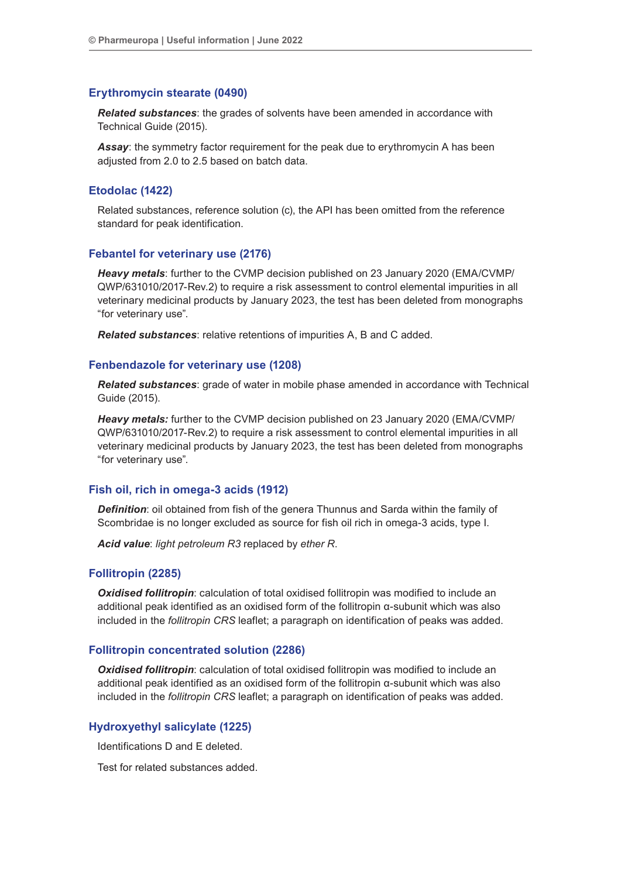## **Erythromycin stearate (0490)**

*Related substances*: the grades of solvents have been amended in accordance with Technical Guide (2015).

*Assay*: the symmetry factor requirement for the peak due to erythromycin A has been adjusted from 2.0 to 2.5 based on batch data.

#### **Etodolac (1422)**

Related substances, reference solution (c), the API has been omitted from the reference standard for peak identification.

# **Febantel for veterinary use (2176)**

*Heavy metals*: further to the CVMP decision published on 23 January 2020 (EMA/CVMP/ QWP/631010/2017-Rev.2) to require a risk assessment to control elemental impurities in all veterinary medicinal products by January 2023, the test has been deleted from monographs "for veterinary use".

*Related substances*: relative retentions of impurities A, B and C added.

#### **Fenbendazole for veterinary use (1208)**

*Related substances*: grade of water in mobile phase amended in accordance with Technical Guide (2015).

*Heavy metals:* further to the CVMP decision published on 23 January 2020 (EMA/CVMP/ QWP/631010/2017-Rev.2) to require a risk assessment to control elemental impurities in all veterinary medicinal products by January 2023, the test has been deleted from monographs "for veterinary use".

#### **Fish oil, rich in omega-3 acids (1912)**

*Definition*: oil obtained from fish of the genera Thunnus and Sarda within the family of Scombridae is no longer excluded as source for fish oil rich in omega-3 acids, type I.

*Acid value*: *light petroleum R3* replaced by *ether R*.

#### **Follitropin (2285)**

*Oxidised follitropin:* calculation of total oxidised follitropin was modified to include an additional peak identified as an oxidised form of the follitropin α-subunit which was also included in the *follitropin CRS* leaflet; a paragraph on identification of peaks was added.

#### **Follitropin concentrated solution (2286)**

**Oxidised follitropin**: calculation of total oxidised follitropin was modified to include an additional peak identified as an oxidised form of the follitropin α-subunit which was also included in the *follitropin CRS* leaflet; a paragraph on identification of peaks was added.

# **Hydroxyethyl salicylate (1225)**

Identifications D and E deleted.

Test for related substances added.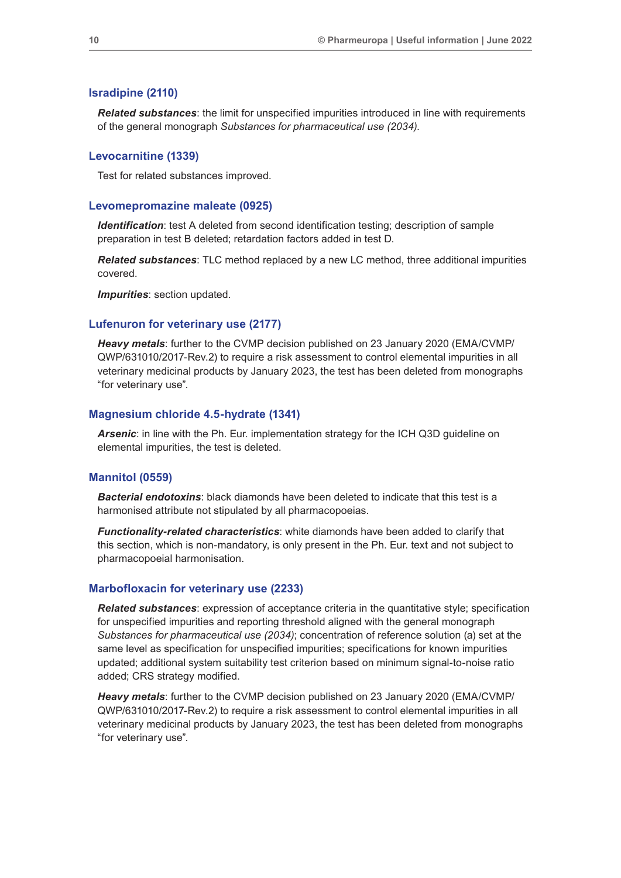#### **Isradipine (2110)**

*Related substances*: the limit for unspecified impurities introduced in line with requirements of the general monograph *Substances for pharmaceutical use (2034)*.

#### **Levocarnitine (1339)**

Test for related substances improved.

#### **Levomepromazine maleate (0925)**

*Identification*: test A deleted from second identification testing; description of sample preparation in test B deleted; retardation factors added in test D.

*Related substances*: TLC method replaced by a new LC method, three additional impurities covered.

*Impurities*: section updated.

#### **Lufenuron for veterinary use (2177)**

*Heavy metals*: further to the CVMP decision published on 23 January 2020 (EMA/CVMP/ QWP/631010/2017-Rev.2) to require a risk assessment to control elemental impurities in all veterinary medicinal products by January 2023, the test has been deleted from monographs "for veterinary use".

#### **Magnesium chloride 4.5-hydrate (1341)**

*Arsenic*: in line with the Ph. Eur. implementation strategy for the ICH Q3D guideline on elemental impurities, the test is deleted.

#### **Mannitol (0559)**

*Bacterial endotoxins*: black diamonds have been deleted to indicate that this test is a harmonised attribute not stipulated by all pharmacopoeias.

*Functionality-related characteristics*: white diamonds have been added to clarify that this section, which is non-mandatory, is only present in the Ph. Eur. text and not subject to pharmacopoeial harmonisation.

#### **Marbofloxacin for veterinary use (2233)**

*Related substances*: expression of acceptance criteria in the quantitative style; specification for unspecified impurities and reporting threshold aligned with the general monograph *Substances for pharmaceutical use (2034)*; concentration of reference solution (a) set at the same level as specification for unspecified impurities; specifications for known impurities updated; additional system suitability test criterion based on minimum signal-to-noise ratio added; CRS strategy modified.

*Heavy metals*: further to the CVMP decision published on 23 January 2020 (EMA/CVMP/ QWP/631010/2017-Rev.2) to require a risk assessment to control elemental impurities in all veterinary medicinal products by January 2023, the test has been deleted from monographs "for veterinary use".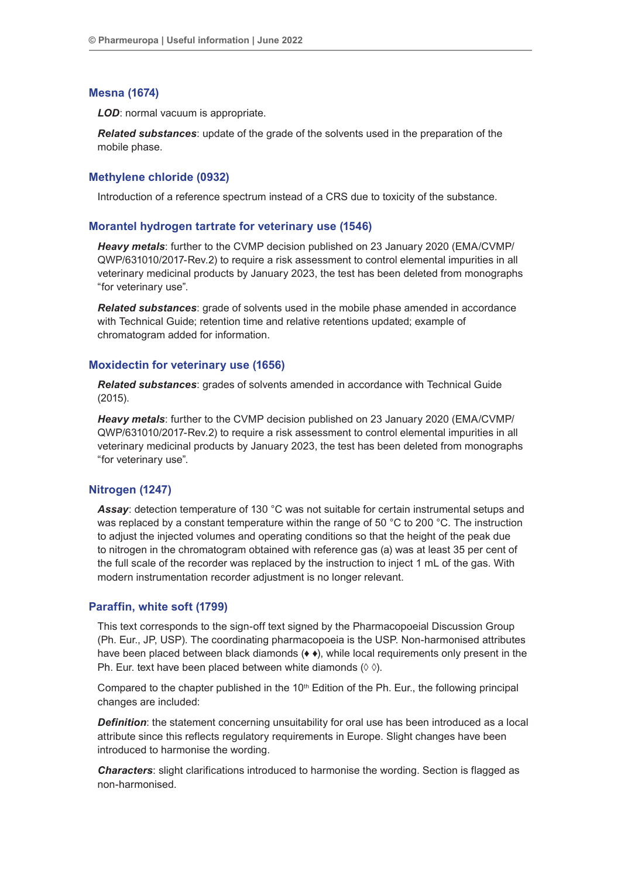# **Mesna (1674)**

*LOD*: normal vacuum is appropriate.

*Related substances*: update of the grade of the solvents used in the preparation of the mobile phase.

# **Methylene chloride (0932)**

Introduction of a reference spectrum instead of a CRS due to toxicity of the substance.

## **Morantel hydrogen tartrate for veterinary use (1546)**

*Heavy metals*: further to the CVMP decision published on 23 January 2020 (EMA/CVMP/ QWP/631010/2017-Rev.2) to require a risk assessment to control elemental impurities in all veterinary medicinal products by January 2023, the test has been deleted from monographs "for veterinary use".

*Related substances*: grade of solvents used in the mobile phase amended in accordance with Technical Guide; retention time and relative retentions updated; example of chromatogram added for information.

#### **Moxidectin for veterinary use (1656)**

*Related substances*: grades of solvents amended in accordance with Technical Guide (2015).

*Heavy metals*: further to the CVMP decision published on 23 January 2020 (EMA/CVMP/ QWP/631010/2017-Rev.2) to require a risk assessment to control elemental impurities in all veterinary medicinal products by January 2023, the test has been deleted from monographs "for veterinary use".

# **Nitrogen (1247)**

Assay: detection temperature of 130 °C was not suitable for certain instrumental setups and was replaced by a constant temperature within the range of 50 °C to 200 °C. The instruction to adjust the injected volumes and operating conditions so that the height of the peak due to nitrogen in the chromatogram obtained with reference gas (a) was at least 35 per cent of the full scale of the recorder was replaced by the instruction to inject 1 mL of the gas. With modern instrumentation recorder adjustment is no longer relevant.

#### **Paraffin, white soft (1799)**

This text corresponds to the sign-off text signed by the Pharmacopoeial Discussion Group (Ph. Eur., JP, USP). The coordinating pharmacopoeia is the USP. Non-harmonised attributes have been placed between black diamonds (♦ ♦), while local requirements only present in the Ph. Eur. text have been placed between white diamonds  $(0, 0)$ .

Compared to the chapter published in the  $10<sup>th</sup>$  Edition of the Ph. Eur., the following principal changes are included:

**Definition**: the statement concerning unsuitability for oral use has been introduced as a local attribute since this reflects regulatory requirements in Europe. Slight changes have been introduced to harmonise the wording.

**Characters:** slight clarifications introduced to harmonise the wording. Section is flagged as non-harmonised.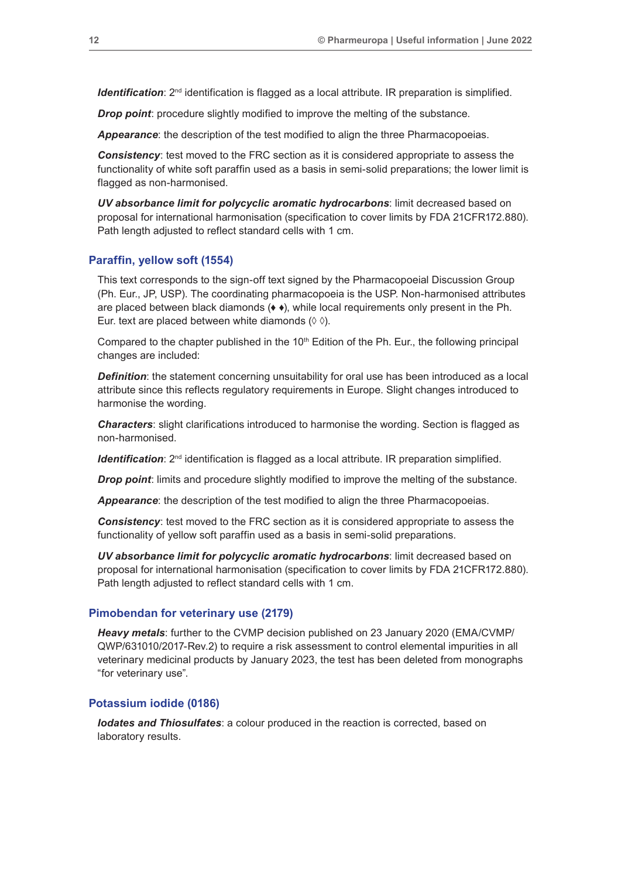*Identification*:  $2^{nd}$  identification is flagged as a local attribute. IR preparation is simplified.

*Drop point:* procedure slightly modified to improve the melting of the substance.

*Appearance*: the description of the test modified to align the three Pharmacopoeias.

*Consistency*: test moved to the FRC section as it is considered appropriate to assess the functionality of white soft paraffin used as a basis in semi-solid preparations; the lower limit is flagged as non-harmonised.

*UV absorbance limit for polycyclic aromatic hydrocarbons*: limit decreased based on proposal for international harmonisation (specification to cover limits by FDA 21CFR172.880). Path length adjusted to reflect standard cells with 1 cm.

#### **Paraffin, yellow soft (1554)**

This text corresponds to the sign-off text signed by the Pharmacopoeial Discussion Group (Ph. Eur., JP, USP). The coordinating pharmacopoeia is the USP. Non-harmonised attributes are placed between black diamonds  $(\bullet \bullet)$ , while local requirements only present in the Ph. Eur. text are placed between white diamonds  $(\Diamond \Diamond)$ .

Compared to the chapter published in the  $10<sup>th</sup>$  Edition of the Ph. Eur., the following principal changes are included:

**Definition**: the statement concerning unsuitability for oral use has been introduced as a local attribute since this reflects regulatory requirements in Europe. Slight changes introduced to harmonise the wording.

*Characters*: slight clarifications introduced to harmonise the wording. Section is flagged as non-harmonised.

*Identification*:  $2^{nd}$  identification is flagged as a local attribute. IR preparation simplified.

*Drop point:* limits and procedure slightly modified to improve the melting of the substance.

*Appearance*: the description of the test modified to align the three Pharmacopoeias.

*Consistency*: test moved to the FRC section as it is considered appropriate to assess the functionality of yellow soft paraffin used as a basis in semi-solid preparations.

*UV absorbance limit for polycyclic aromatic hydrocarbons*: limit decreased based on proposal for international harmonisation (specification to cover limits by FDA 21CFR172.880). Path length adjusted to reflect standard cells with 1 cm.

#### **Pimobendan for veterinary use (2179)**

*Heavy metals*: further to the CVMP decision published on 23 January 2020 (EMA/CVMP/ QWP/631010/2017-Rev.2) to require a risk assessment to control elemental impurities in all veterinary medicinal products by January 2023, the test has been deleted from monographs "for veterinary use".

## **Potassium iodide (0186)**

*Iodates and Thiosulfates*: a colour produced in the reaction is corrected, based on laboratory results.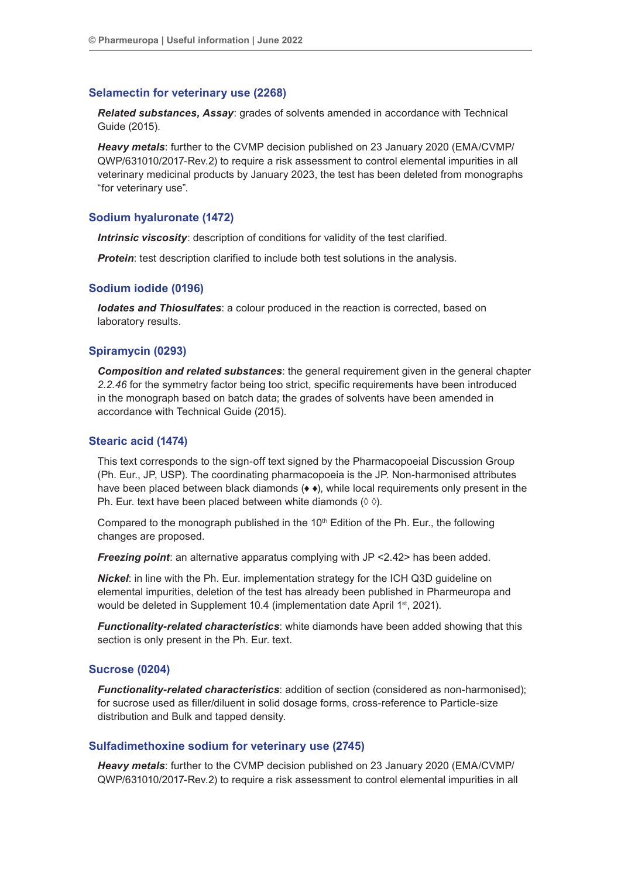#### **Selamectin for veterinary use (2268)**

*Related substances, Assay*: grades of solvents amended in accordance with Technical Guide (2015).

*Heavy metals*: further to the CVMP decision published on 23 January 2020 (EMA/CVMP/ QWP/631010/2017-Rev.2) to require a risk assessment to control elemental impurities in all veterinary medicinal products by January 2023, the test has been deleted from monographs "for veterinary use".

#### **Sodium hyaluronate (1472)**

*Intrinsic viscosity:* description of conditions for validity of the test clarified.

**Protein:** test description clarified to include both test solutions in the analysis.

#### **Sodium iodide (0196)**

*Iodates and Thiosulfates*: a colour produced in the reaction is corrected, based on laboratory results.

#### **Spiramycin (0293)**

*Composition and related substances*: the general requirement given in the general chapter *2.2.46* for the symmetry factor being too strict, specific requirements have been introduced in the monograph based on batch data; the grades of solvents have been amended in accordance with Technical Guide (2015).

#### **Stearic acid (1474)**

This text corresponds to the sign-off text signed by the Pharmacopoeial Discussion Group (Ph. Eur., JP, USP). The coordinating pharmacopoeia is the JP. Non-harmonised attributes have been placed between black diamonds ( $\leftrightarrow$ ), while local requirements only present in the Ph. Eur. text have been placed between white diamonds (◊ ◊).

Compared to the monograph published in the  $10<sup>th</sup>$  Edition of the Ph. Eur., the following changes are proposed.

*Freezing point*: an alternative apparatus complying with JP <2.42> has been added.

*Nickel*: in line with the Ph. Eur. implementation strategy for the ICH Q3D guideline on elemental impurities, deletion of the test has already been published in Pharmeuropa and would be deleted in Supplement 10.4 (implementation date April 1<sup>st</sup>, 2021).

*Functionality-related characteristics*: white diamonds have been added showing that this section is only present in the Ph. Eur. text.

#### **Sucrose (0204)**

*Functionality-related characteristics*: addition of section (considered as non-harmonised); for sucrose used as filler/diluent in solid dosage forms, cross-reference to Particle-size distribution and Bulk and tapped density.

# **Sulfadimethoxine sodium for veterinary use (2745)**

*Heavy metals*: further to the CVMP decision published on 23 January 2020 (EMA/CVMP/ QWP/631010/2017-Rev.2) to require a risk assessment to control elemental impurities in all